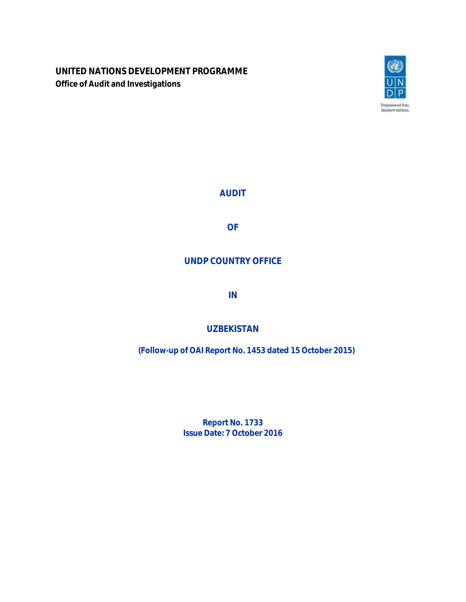**UNITED NATIONS DEVELOPMENT PROGRAMME Office of Audit and Investigations**



**AUDIT**

**OF**

# **UNDP COUNTRY OFFICE**

**IN**

# **UZBEKISTAN**

**(Follow-up of OAI Report No. 1453 dated 15 October 2015)**

**Report No. 1733 Issue Date: 7 October 2016**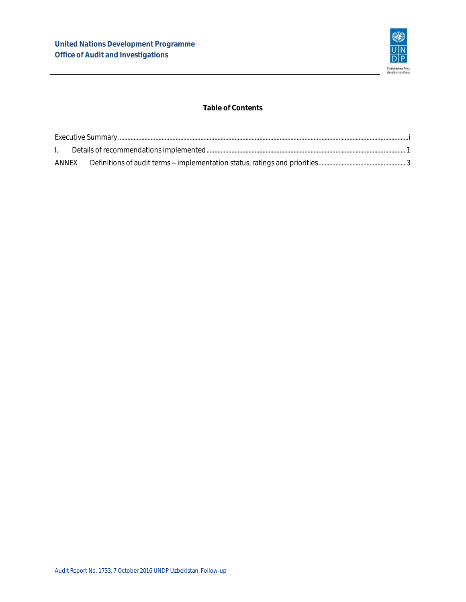

### **Table of Contents**

| ANNEX |  |  |  |  |
|-------|--|--|--|--|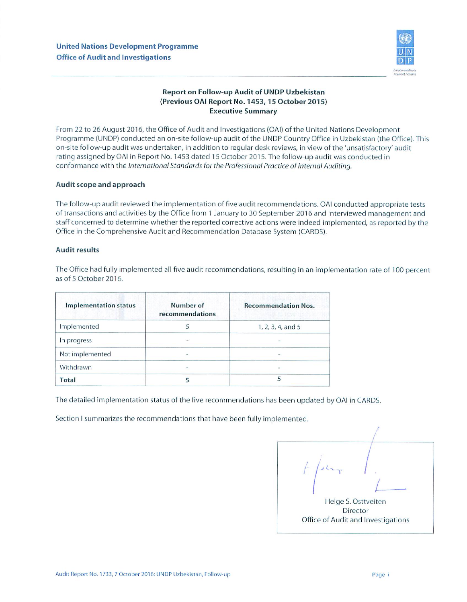

### *Report on Follow-up Audit of UNDP Uzbekistan (Previous OAI Report No. 1453,15 October 2015) Executive Summary*

From 22 to 26 August 2016, the Office of Audit and Investigations (OAI) of the United Nations Development Programme (UNDP) conducted an on-site follow-up audit of the UNDPCountry Office in Uzbekistan (the Office). This on-site follow-up audit was undertaken, in addition to regular desk reviews, in view of the 'unsatisfactory' audit rating assigned by OAI in Report No. 1453 dated 15 October 2015. The follow-up audit was conducted in conformance with the *International Standards for the Professional Practice of Internal Auditing.* 

#### *Audit scope and approach*

The follow-up audit reviewed the implementation of five audit recommendations. OAI conducted appropriate tests of transactions and activities by the Office from 1 January to 30 September 2016 and interviewed management and staff concerned to determine whether the reported corrective actions were indeed implemented, as reported by the Office in the Comprehensive Audit and Recommendation Database System (CARDS).

#### *Audit results*

The Office had fully implemented all five audit recommendations, resulting in an implementation rate of 100 percent as of 5 October 2016.

| <b>Implementation status</b> | Number of<br>recommendations | <b>Recommendation Nos.</b> |
|------------------------------|------------------------------|----------------------------|
| Implemented                  |                              | $1, 2, 3, 4,$ and 5        |
| In progress                  | 22                           |                            |
| Not implemented              |                              |                            |
| Withdrawn                    |                              |                            |
| Total                        |                              |                            |

The detailed implementation status of the five recommendations has been updated by OAI in CARDS.

Section I summarizes the recommendations that have been fully implemented.

 $\overline{\mathcal{L}}$ Helge S. Osttveiten Director Office of Audit and Investigations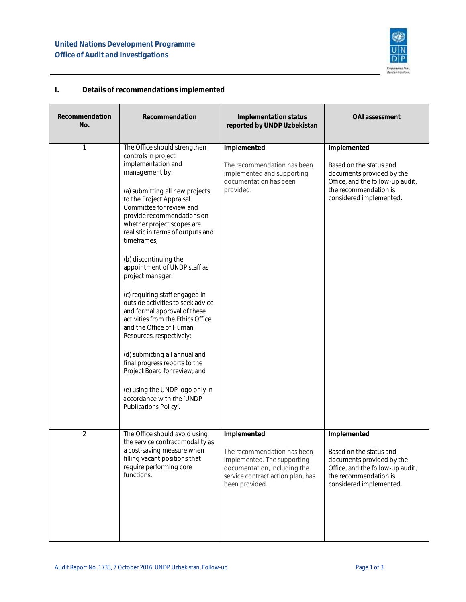

## <span id="page-3-0"></span>**I. Details of recommendations implemented**

| Recommendation<br>No. | Recommendation                                                                                                                                                                                                                                                                                                                                                                                                                                                                                                                                                                                                                                                                                                                                                                     | Implementation status<br>reported by UNDP Uzbekistan                                                                                                             | OAI assessment                                                                                                                                              |
|-----------------------|------------------------------------------------------------------------------------------------------------------------------------------------------------------------------------------------------------------------------------------------------------------------------------------------------------------------------------------------------------------------------------------------------------------------------------------------------------------------------------------------------------------------------------------------------------------------------------------------------------------------------------------------------------------------------------------------------------------------------------------------------------------------------------|------------------------------------------------------------------------------------------------------------------------------------------------------------------|-------------------------------------------------------------------------------------------------------------------------------------------------------------|
|                       | The Office should strengthen<br>controls in project<br>implementation and<br>management by:<br>(a) submitting all new projects<br>to the Project Appraisal<br>Committee for review and<br>provide recommendations on<br>whether project scopes are<br>realistic in terms of outputs and<br>timeframes:<br>(b) discontinuing the<br>appointment of UNDP staff as<br>project manager;<br>(c) requiring staff engaged in<br>outside activities to seek advice<br>and formal approval of these<br>activities from the Ethics Office<br>and the Office of Human<br>Resources, respectively;<br>(d) submitting all annual and<br>final progress reports to the<br>Project Board for review; and<br>(e) using the UNDP logo only in<br>accordance with the 'UNDP<br>Publications Policy'. | Implemented<br>The recommendation has been<br>implemented and supporting<br>documentation has been<br>provided.                                                  | Implemented<br>Based on the status and<br>documents provided by the<br>Office, and the follow-up audit,<br>the recommendation is<br>considered implemented. |
| $\overline{2}$        | The Office should avoid using<br>the service contract modality as<br>a cost-saving measure when<br>filling vacant positions that<br>require performing core<br>functions.                                                                                                                                                                                                                                                                                                                                                                                                                                                                                                                                                                                                          | Implemented<br>The recommendation has been<br>implemented. The supporting<br>documentation, including the<br>service contract action plan, has<br>been provided. | Implemented<br>Based on the status and<br>documents provided by the<br>Office, and the follow-up audit,<br>the recommendation is<br>considered implemented. |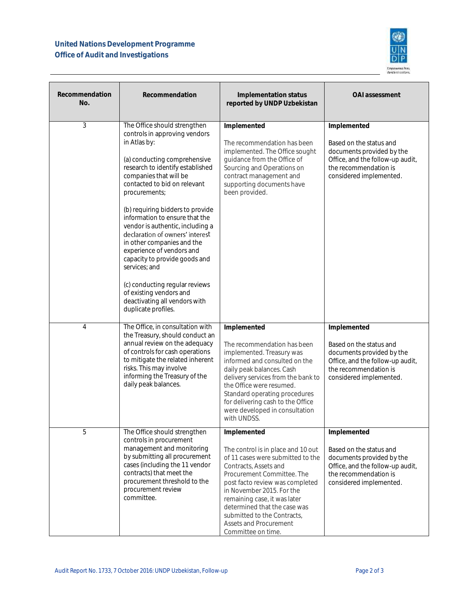# **United Nations Development Programme Office of Audit and Investigations**



| Recommendation<br>No. | Recommendation                                                                                                                                                                                                                                                                                                                                                                                                                                                                                                                                                                                              | Implementation status<br>reported by UNDP Uzbekistan                                                                                                                                                                                                                                                                                                         | OAI assessment                                                                                                                                              |
|-----------------------|-------------------------------------------------------------------------------------------------------------------------------------------------------------------------------------------------------------------------------------------------------------------------------------------------------------------------------------------------------------------------------------------------------------------------------------------------------------------------------------------------------------------------------------------------------------------------------------------------------------|--------------------------------------------------------------------------------------------------------------------------------------------------------------------------------------------------------------------------------------------------------------------------------------------------------------------------------------------------------------|-------------------------------------------------------------------------------------------------------------------------------------------------------------|
| 3                     | The Office should strengthen<br>controls in approving vendors<br>in Atlas by:<br>(a) conducting comprehensive<br>research to identify established<br>companies that will be<br>contacted to bid on relevant<br>procurements;<br>(b) requiring bidders to provide<br>information to ensure that the<br>vendor is authentic, including a<br>declaration of owners' interest<br>in other companies and the<br>experience of vendors and<br>capacity to provide goods and<br>services; and<br>(c) conducting regular reviews<br>of existing vendors and<br>deactivating all vendors with<br>duplicate profiles. | Implemented<br>The recommendation has been<br>implemented. The Office sought<br>guidance from the Office of<br>Sourcing and Operations on<br>contract management and<br>supporting documents have<br>been provided.                                                                                                                                          | Implemented<br>Based on the status and<br>documents provided by the<br>Office, and the follow-up audit,<br>the recommendation is<br>considered implemented. |
| 4                     | The Office, in consultation with<br>the Treasury, should conduct an<br>annual review on the adequacy<br>of controls for cash operations<br>to mitigate the related inherent<br>risks. This may involve<br>informing the Treasury of the<br>daily peak balances.                                                                                                                                                                                                                                                                                                                                             | Implemented<br>The recommendation has been<br>implemented. Treasury was<br>informed and consulted on the<br>daily peak balances. Cash<br>delivery services from the bank to<br>the Office were resumed.<br>Standard operating procedures<br>for delivering cash to the Office<br>were developed in consultation<br>with UNDSS.                               | Implemented<br>Based on the status and<br>documents provided by the<br>Office, and the follow-up audit,<br>the recommendation is<br>considered implemented. |
| 5                     | The Office should strengthen<br>controls in procurement<br>management and monitoring<br>by submitting all procurement<br>cases (including the 11 vendor<br>contracts) that meet the<br>procurement threshold to the<br>procurement review<br>committee.                                                                                                                                                                                                                                                                                                                                                     | Implemented<br>The control is in place and 10 out<br>of 11 cases were submitted to the<br>Contracts, Assets and<br>Procurement Committee. The<br>post facto review was completed<br>in November 2015. For the<br>remaining case, it was later<br>determined that the case was<br>submitted to the Contracts,<br>Assets and Procurement<br>Committee on time. | Implemented<br>Based on the status and<br>documents provided by the<br>Office, and the follow-up audit,<br>the recommendation is<br>considered implemented. |